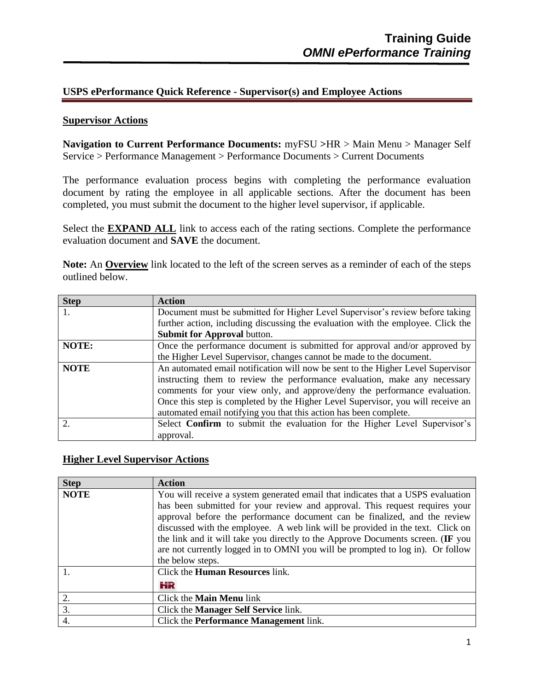## **USPS ePerformance Quick Reference - Supervisor(s) and Employee Actions**

### **Supervisor Actions**

**Navigation to Current Performance Documents:** myFSU **>**HR > Main Menu > Manager Self Service > Performance Management > Performance Documents > Current Documents

The performance evaluation process begins with completing the performance evaluation document by rating the employee in all applicable sections. After the document has been completed, you must submit the document to the higher level supervisor, if applicable.

Select the **EXPAND ALL** link to access each of the rating sections. Complete the performance evaluation document and **SAVE** the document.

**Note:** An **Overview** link located to the left of the screen serves as a reminder of each of the steps outlined below.

| <b>Step</b>                 | <b>Action</b>                                                                    |
|-----------------------------|----------------------------------------------------------------------------------|
|                             | Document must be submitted for Higher Level Supervisor's review before taking    |
|                             | further action, including discussing the evaluation with the employee. Click the |
|                             | <b>Submit for Approval button.</b>                                               |
| NOTE:                       | Once the performance document is submitted for approval and/or approved by       |
|                             | the Higher Level Supervisor, changes cannot be made to the document.             |
| <b>NOTE</b>                 | An automated email notification will now be sent to the Higher Level Supervisor  |
|                             | instructing them to review the performance evaluation, make any necessary        |
|                             | comments for your view only, and approve/deny the performance evaluation.        |
|                             | Once this step is completed by the Higher Level Supervisor, you will receive an  |
|                             | automated email notifying you that this action has been complete.                |
| $\mathcal{D}_{\mathcal{L}}$ | Select <b>Confirm</b> to submit the evaluation for the Higher Level Supervisor's |
|                             | approval.                                                                        |

#### **Higher Level Supervisor Actions**

| <b>Step</b> | <b>Action</b>                                                                   |  |  |  |  |
|-------------|---------------------------------------------------------------------------------|--|--|--|--|
| <b>NOTE</b> | You will receive a system generated email that indicates that a USPS evaluation |  |  |  |  |
|             | has been submitted for your review and approval. This request requires your     |  |  |  |  |
|             | approval before the performance document can be finalized, and the review       |  |  |  |  |
|             | discussed with the employee. A web link will be provided in the text. Click on  |  |  |  |  |
|             | the link and it will take you directly to the Approve Documents screen. (IF you |  |  |  |  |
|             | are not currently logged in to OMNI you will be prompted to log in). Or follow  |  |  |  |  |
|             | the below steps.                                                                |  |  |  |  |
|             | Click the <b>Human Resources</b> link.                                          |  |  |  |  |
|             | HR                                                                              |  |  |  |  |
| 2.          | Click the <b>Main Menu</b> link                                                 |  |  |  |  |
| 3.          | Click the <b>Manager Self Service</b> link.                                     |  |  |  |  |
| 4.          | Click the <b>Performance Management</b> link.                                   |  |  |  |  |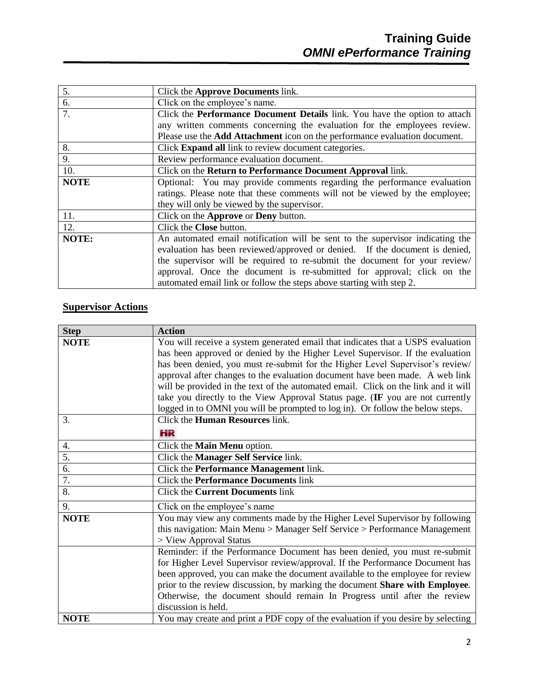| 5.          | Click the Approve Documents link.                                                 |
|-------------|-----------------------------------------------------------------------------------|
| 6.          | Click on the employee's name.                                                     |
| 7.          | Click the Performance Document Details link. You have the option to attach        |
|             | any written comments concerning the evaluation for the employees review.          |
|             | Please use the <b>Add Attachment</b> icon on the performance evaluation document. |
| 8.          | Click <b>Expand all</b> link to review document categories.                       |
| 9.          | Review performance evaluation document.                                           |
| 10.         | Click on the Return to Performance Document Approval link.                        |
| <b>NOTE</b> | Optional: You may provide comments regarding the performance evaluation           |
|             | ratings. Please note that these comments will not be viewed by the employee;      |
|             | they will only be viewed by the supervisor.                                       |
| 11.         | Click on the Approve or Deny button.                                              |
| 12.         | Click the Close button.                                                           |
| NOTE:       | An automated email notification will be sent to the supervisor indicating the     |
|             | evaluation has been reviewed/approved or denied. If the document is denied,       |
|             | the supervisor will be required to re-submit the document for your review/        |
|             | approval. Once the document is re-submitted for approval; click on the            |
|             | automated email link or follow the steps above starting with step 2.              |

# **Supervisor Actions**

| <b>Step</b> | <b>Action</b>                                                                        |
|-------------|--------------------------------------------------------------------------------------|
| <b>NOTE</b> | You will receive a system generated email that indicates that a USPS evaluation      |
|             | has been approved or denied by the Higher Level Supervisor. If the evaluation        |
|             | has been denied, you must re-submit for the Higher Level Supervisor's review/        |
|             | approval after changes to the evaluation document have been made. A web link         |
|             | will be provided in the text of the automated email. Click on the link and it will   |
|             | take you directly to the View Approval Status page. (IF you are not currently        |
|             | logged in to OMNI you will be prompted to log in). Or follow the below steps.        |
| 3.          | Click the <b>Human Resources</b> link.                                               |
|             | HR                                                                                   |
| 4.          | Click the Main Menu option.                                                          |
| 5.          | Click the Manager Self Service link.                                                 |
| 6.          | Click the Performance Management link.                                               |
| 7.          | <b>Click the Performance Documents link</b>                                          |
| 8.          | <b>Click the Current Documents link</b>                                              |
| 9.          | Click on the employee's name                                                         |
| <b>NOTE</b> | You may view any comments made by the Higher Level Supervisor by following           |
|             | this navigation: Main Menu > Manager Self Service > Performance Management           |
|             | > View Approval Status                                                               |
|             | Reminder: if the Performance Document has been denied, you must re-submit            |
|             | for Higher Level Supervisor review/approval. If the Performance Document has         |
|             | been approved, you can make the document available to the employee for review        |
|             | prior to the review discussion, by marking the document <b>Share with Employee</b> . |
|             | Otherwise, the document should remain In Progress until after the review             |
|             | discussion is held.                                                                  |
| <b>NOTE</b> | You may create and print a PDF copy of the evaluation if you desire by selecting     |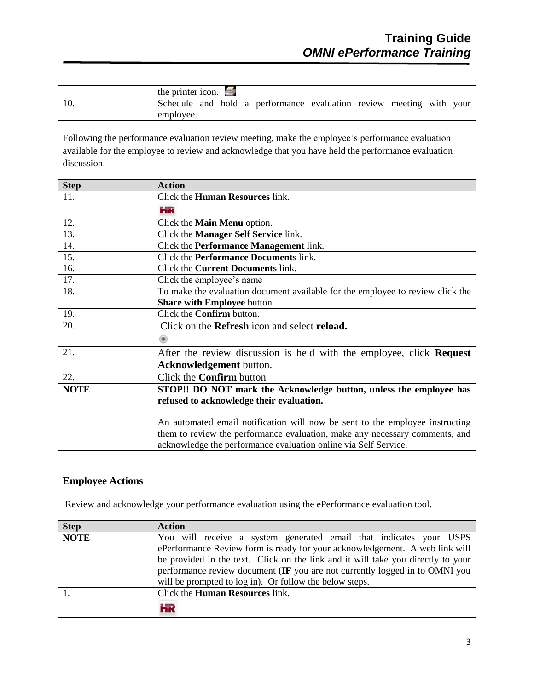| the printer icon. $\blacksquare$                                    |  |  |  |  |
|---------------------------------------------------------------------|--|--|--|--|
| Schedule and hold a performance evaluation review meeting with your |  |  |  |  |
| employee.                                                           |  |  |  |  |

Following the performance evaluation review meeting, make the employee's performance evaluation available for the employee to review and acknowledge that you have held the performance evaluation discussion.

| <b>Step</b> | <b>Action</b>                                                                  |
|-------------|--------------------------------------------------------------------------------|
| 11.         | Click the <b>Human Resources</b> link.                                         |
|             | HR                                                                             |
| 12.         | Click the <b>Main Menu</b> option.                                             |
| 13.         | Click the <b>Manager Self Service</b> link.                                    |
| 14.         | Click the <b>Performance Management</b> link.                                  |
| 15.         | Click the <b>Performance Documents</b> link.                                   |
| 16.         | Click the <b>Current Documents</b> link.                                       |
| 17.         | Click the employee's name                                                      |
| 18.         | To make the evaluation document available for the employee to review click the |
|             | <b>Share with Employee button.</b>                                             |
| 19.         | Click the <b>Confirm</b> button.                                               |
| 20.         | Click on the Refresh icon and select reload.                                   |
|             | $\circ$                                                                        |
| 21.         | After the review discussion is held with the employee, click <b>Request</b>    |
|             | Acknowledgement button.                                                        |
| 22.         | Click the <b>Confirm</b> button                                                |
| <b>NOTE</b> | STOP!! DO NOT mark the Acknowledge button, unless the employee has             |
|             | refused to acknowledge their evaluation.                                       |
|             |                                                                                |
|             | An automated email notification will now be sent to the employee instructing   |
|             | them to review the performance evaluation, make any necessary comments, and    |
|             | acknowledge the performance evaluation online via Self Service.                |

## **Employee Actions**

Review and acknowledge your performance evaluation using the ePerformance evaluation tool.

| <b>Step</b> | <b>Action</b>                                                                    |
|-------------|----------------------------------------------------------------------------------|
| <b>NOTE</b> | You will receive a system generated email that indicates your USPS               |
|             | ePerformance Review form is ready for your acknowledgement. A web link will      |
|             | be provided in the text. Click on the link and it will take you directly to your |
|             | performance review document (IF you are not currently logged in to OMNI you      |
|             | will be prompted to log in). Or follow the below steps.                          |
|             | Click the <b>Human Resources</b> link.                                           |
|             | HR                                                                               |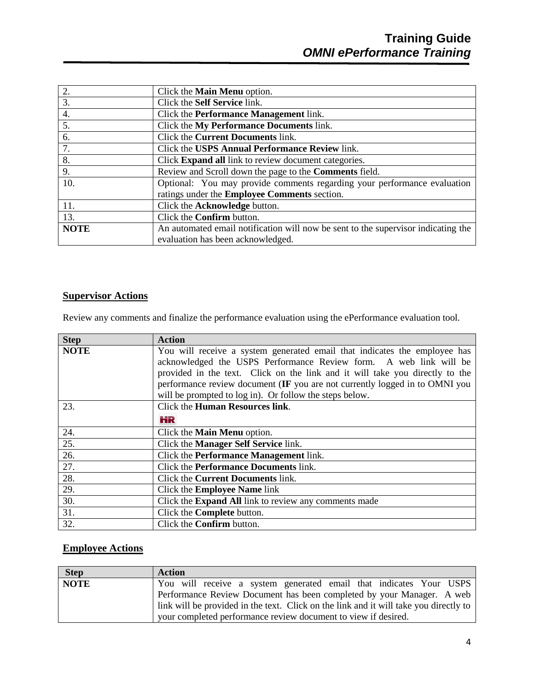| 2.             | Click the <b>Main Menu</b> option.                                                |
|----------------|-----------------------------------------------------------------------------------|
| 3.             | Click the Self Service link.                                                      |
| 4.             | Click the <b>Performance Management</b> link.                                     |
| 5.             | Click the My Performance Documents link.                                          |
| 6.             | Click the <b>Current Documents</b> link.                                          |
| 7.             | Click the USPS Annual Performance Review link.                                    |
| 8.             | Click Expand all link to review document categories.                              |
| 9 <sub>l</sub> | Review and Scroll down the page to the Comments field.                            |
| 10.            | Optional: You may provide comments regarding your performance evaluation          |
|                | ratings under the Employee Comments section.                                      |
| 11.            | Click the Acknowledge button.                                                     |
| 13.            | Click the <b>Confirm</b> button.                                                  |
| <b>NOTE</b>    | An automated email notification will now be sent to the supervisor indicating the |
|                | evaluation has been acknowledged.                                                 |

# **Supervisor Actions**

Review any comments and finalize the performance evaluation using the ePerformance evaluation tool.

| <b>Step</b> | <b>Action</b>                                                                |  |  |  |  |
|-------------|------------------------------------------------------------------------------|--|--|--|--|
| <b>NOTE</b> | You will receive a system generated email that indicates the employee has    |  |  |  |  |
|             | acknowledged the USPS Performance Review form. A web link will be            |  |  |  |  |
|             | provided in the text. Click on the link and it will take you directly to the |  |  |  |  |
|             | performance review document (IF you are not currently logged in to OMNI you  |  |  |  |  |
|             | will be prompted to log in). Or follow the steps below.                      |  |  |  |  |
| 23.         | Click the Human Resources link.                                              |  |  |  |  |
|             | HR                                                                           |  |  |  |  |
| 24.         | Click the <b>Main Menu</b> option.                                           |  |  |  |  |
| 25.         | Click the Manager Self Service link.                                         |  |  |  |  |
| 26.         | Click the <b>Performance Management</b> link.                                |  |  |  |  |
| 27.         | Click the <b>Performance Documents</b> link.                                 |  |  |  |  |
| 28.         | Click the <b>Current Documents</b> link.                                     |  |  |  |  |
| 29.         | Click the <b>Employee Name</b> link                                          |  |  |  |  |
| 30.         | Click the <b>Expand All</b> link to review any comments made                 |  |  |  |  |
| 31.         | Click the <b>Complete</b> button.                                            |  |  |  |  |
| 32.         | Click the <b>Confirm</b> button.                                             |  |  |  |  |

## **Employee Actions**

| <b>Step</b> | <b>Action</b>                                                                         |
|-------------|---------------------------------------------------------------------------------------|
| <b>NOTE</b> | You will receive a system generated email that indicates Your USPS                    |
|             | Performance Review Document has been completed by your Manager. A web                 |
|             | link will be provided in the text. Click on the link and it will take you directly to |
|             | your completed performance review document to view if desired.                        |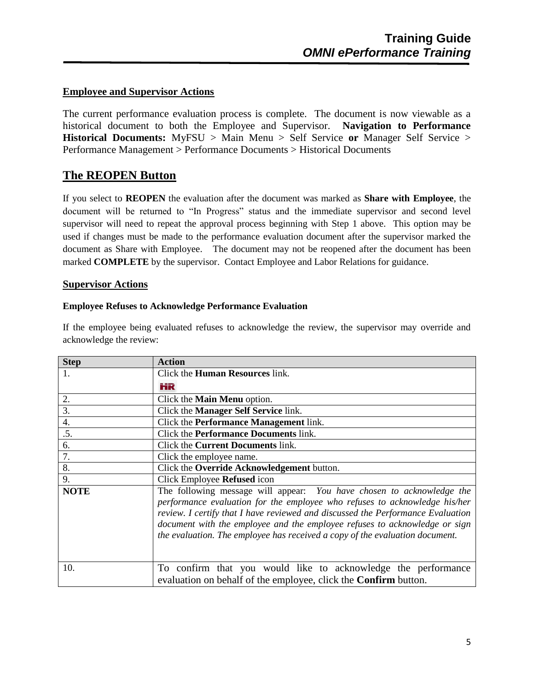### **Employee and Supervisor Actions**

The current performance evaluation process is complete. The document is now viewable as a historical document to both the Employee and Supervisor. **Navigation to Performance Historical Documents:** MyFSU > Main Menu > Self Service **or** Manager Self Service > Performance Management > Performance Documents > Historical Documents

# **The REOPEN Button**

If you select to **REOPEN** the evaluation after the document was marked as **Share with Employee**, the document will be returned to "In Progress" status and the immediate supervisor and second level supervisor will need to repeat the approval process beginning with Step 1 above. This option may be used if changes must be made to the performance evaluation document after the supervisor marked the document as Share with Employee. The document may not be reopened after the document has been marked **COMPLETE** by the supervisor. Contact Employee and Labor Relations for guidance.

### **Supervisor Actions**

#### **Employee Refuses to Acknowledge Performance Evaluation**

If the employee being evaluated refuses to acknowledge the review, the supervisor may override and acknowledge the review:

| <b>Step</b> | <b>Action</b>                                                                                                                                                                                                                                                                                                                                                                                        |
|-------------|------------------------------------------------------------------------------------------------------------------------------------------------------------------------------------------------------------------------------------------------------------------------------------------------------------------------------------------------------------------------------------------------------|
| 1.          | Click the <b>Human Resources</b> link.                                                                                                                                                                                                                                                                                                                                                               |
|             | ĦR                                                                                                                                                                                                                                                                                                                                                                                                   |
| 2.          | Click the <b>Main Menu</b> option.                                                                                                                                                                                                                                                                                                                                                                   |
| 3.          | Click the <b>Manager Self Service</b> link.                                                                                                                                                                                                                                                                                                                                                          |
| 4.          | Click the <b>Performance Management</b> link.                                                                                                                                                                                                                                                                                                                                                        |
| .5.         | Click the <b>Performance Documents</b> link.                                                                                                                                                                                                                                                                                                                                                         |
| 6.          | Click the <b>Current Documents</b> link.                                                                                                                                                                                                                                                                                                                                                             |
| 7.          | Click the employee name.                                                                                                                                                                                                                                                                                                                                                                             |
| 8.          | Click the Override Acknowledgement button.                                                                                                                                                                                                                                                                                                                                                           |
| 9.          | Click Employee Refused icon                                                                                                                                                                                                                                                                                                                                                                          |
| <b>NOTE</b> | The following message will appear: You have chosen to acknowledge the<br>performance evaluation for the employee who refuses to acknowledge his/her<br>review. I certify that I have reviewed and discussed the Performance Evaluation<br>document with the employee and the employee refuses to acknowledge or sign<br>the evaluation. The employee has received a copy of the evaluation document. |
| 10.         | To confirm that you would like to acknowledge the performance<br>evaluation on behalf of the employee, click the <b>Confirm</b> button.                                                                                                                                                                                                                                                              |